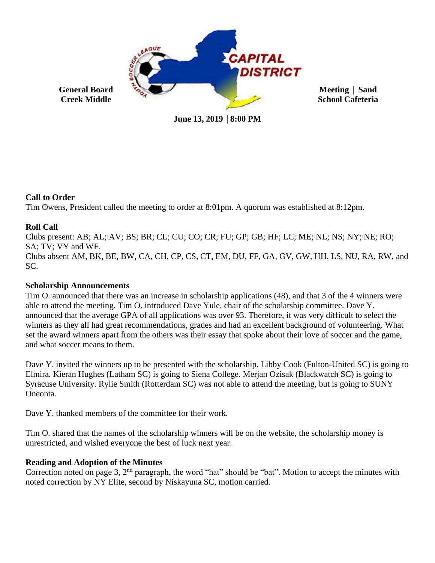

**June 13, 2019** │**8:00 PM**

# **Call to Order**

Tim Owens, President called the meeting to order at 8:01pm. A quorum was established at 8:12pm.

# **Roll Call**

Clubs present: AB; AL; AV; BS; BR; CL; CU; CO; CR; FU; GP; GB; HF; LC; ME; NL; NS; NY; NE; RO; SA; TV; VY and WF. Clubs absent AM, BK, BE, BW, CA, CH, CP, CS, CT, EM, DU, FF, GA, GV, GW, HH, LS, NU, RA, RW, and SC.

# **Scholarship Announcements**

Tim O. announced that there was an increase in scholarship applications (48), and that 3 of the 4 winners were able to attend the meeting. Tim O. introduced Dave Yule, chair of the scholarship committee. Dave Y. announced that the average GPA of all applications was over 93. Therefore, it was very difficult to select the winners as they all had great recommendations, grades and had an excellent background of volunteering. What set the award winners apart from the others was their essay that spoke about their love of soccer and the game, and what soccer means to them.

Dave Y. invited the winners up to be presented with the scholarship. Libby Cook (Fulton-United SC) is going to Elmira. Kieran Hughes (Latham SC) is going to Siena College. Merjan Ozisak (Blackwatch SC) is going to Syracuse University. Rylie Smith (Rotterdam SC) was not able to attend the meeting, but is going to SUNY Oneonta.

Dave Y, thanked members of the committee for their work.

Tim O. shared that the names of the scholarship winners will be on the website, the scholarship money is unrestricted, and wished everyone the best of luck next year.

# **Reading and Adoption of the Minutes**

Correction noted on page 3, 2<sup>nd</sup> paragraph, the word "hat" should be "bat". Motion to accept the minutes with noted correction by NY Elite, second by Niskayuna SC, motion carried.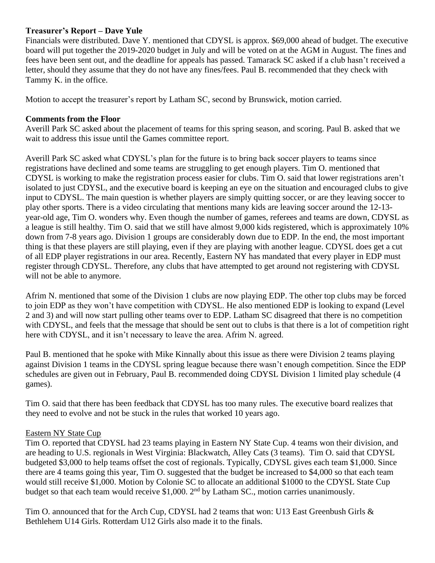## **Treasurer's Report – Dave Yule**

Financials were distributed. Dave Y. mentioned that CDYSL is approx. \$69,000 ahead of budget. The executive board will put together the 2019-2020 budget in July and will be voted on at the AGM in August. The fines and fees have been sent out, and the deadline for appeals has passed. Tamarack SC asked if a club hasn't received a letter, should they assume that they do not have any fines/fees. Paul B. recommended that they check with Tammy K. in the office.

Motion to accept the treasurer's report by Latham SC, second by Brunswick, motion carried.

#### **Comments from the Floor**

Averill Park SC asked about the placement of teams for this spring season, and scoring. Paul B. asked that we wait to address this issue until the Games committee report.

Averill Park SC asked what CDYSL's plan for the future is to bring back soccer players to teams since registrations have declined and some teams are struggling to get enough players. Tim O. mentioned that CDYSL is working to make the registration process easier for clubs. Tim O. said that lower registrations aren't isolated to just CDYSL, and the executive board is keeping an eye on the situation and encouraged clubs to give input to CDYSL. The main question is whether players are simply quitting soccer, or are they leaving soccer to play other sports. There is a video circulating that mentions many kids are leaving soccer around the 12-13 year-old age, Tim O. wonders why. Even though the number of games, referees and teams are down, CDYSL as a league is still healthy. Tim O. said that we still have almost 9,000 kids registered, which is approximately 10% down from 7-8 years ago. Division 1 groups are considerably down due to EDP. In the end, the most important thing is that these players are still playing, even if they are playing with another league. CDYSL does get a cut of all EDP player registrations in our area. Recently, Eastern NY has mandated that every player in EDP must register through CDYSL. Therefore, any clubs that have attempted to get around not registering with CDYSL will not be able to anymore.

Afrim N. mentioned that some of the Division 1 clubs are now playing EDP. The other top clubs may be forced to join EDP as they won't have competition with CDYSL. He also mentioned EDP is looking to expand (Level 2 and 3) and will now start pulling other teams over to EDP. Latham SC disagreed that there is no competition with CDYSL, and feels that the message that should be sent out to clubs is that there is a lot of competition right here with CDYSL, and it isn't necessary to leave the area. Afrim N. agreed.

Paul B. mentioned that he spoke with Mike Kinnally about this issue as there were Division 2 teams playing against Division 1 teams in the CDYSL spring league because there wasn't enough competition. Since the EDP schedules are given out in February, Paul B. recommended doing CDYSL Division 1 limited play schedule (4 games).

Tim O. said that there has been feedback that CDYSL has too many rules. The executive board realizes that they need to evolve and not be stuck in the rules that worked 10 years ago.

## Eastern NY State Cup

Tim O. reported that CDYSL had 23 teams playing in Eastern NY State Cup. 4 teams won their division, and are heading to U.S. regionals in West Virginia: Blackwatch, Alley Cats (3 teams). Tim O. said that CDYSL budgeted \$3,000 to help teams offset the cost of regionals. Typically, CDYSL gives each team \$1,000. Since there are 4 teams going this year, Tim O. suggested that the budget be increased to \$4,000 so that each team would still receive \$1,000. Motion by Colonie SC to allocate an additional \$1000 to the CDYSL State Cup budget so that each team would receive \$1,000. 2<sup>nd</sup> by Latham SC., motion carries unanimously.

Tim O. announced that for the Arch Cup, CDYSL had 2 teams that won: U13 East Greenbush Girls & Bethlehem U14 Girls. Rotterdam U12 Girls also made it to the finals.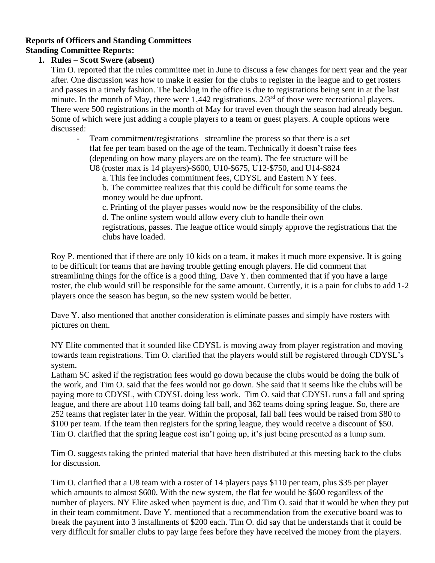## **Reports of Officers and Standing Committees Standing Committee Reports:**

# **1. Rules – Scott Swere (absent)**

Tim O. reported that the rules committee met in June to discuss a few changes for next year and the year after. One discussion was how to make it easier for the clubs to register in the league and to get rosters and passes in a timely fashion. The backlog in the office is due to registrations being sent in at the last minute. In the month of May, there were 1,442 registrations.  $2/3<sup>rd</sup>$  of those were recreational players. There were 500 registrations in the month of May for travel even though the season had already begun. Some of which were just adding a couple players to a team or guest players. A couple options were discussed:

- Team commitment/registrations –streamline the process so that there is a set flat fee per team based on the age of the team. Technically it doesn't raise fees (depending on how many players are on the team). The fee structure will be U8 (roster max is 14 players)-\$600, U10-\$675, U12-\$750, and U14-\$824

a. This fee includes commitment fees, CDYSL and Eastern NY fees.

b. The committee realizes that this could be difficult for some teams the money would be due upfront.

c. Printing of the player passes would now be the responsibility of the clubs.

d. The online system would allow every club to handle their own

registrations, passes. The league office would simply approve the registrations that the clubs have loaded.

Roy P. mentioned that if there are only 10 kids on a team, it makes it much more expensive. It is going to be difficult for teams that are having trouble getting enough players. He did comment that streamlining things for the office is a good thing. Dave Y. then commented that if you have a large roster, the club would still be responsible for the same amount. Currently, it is a pain for clubs to add 1-2 players once the season has begun, so the new system would be better.

Dave Y. also mentioned that another consideration is eliminate passes and simply have rosters with pictures on them.

NY Elite commented that it sounded like CDYSL is moving away from player registration and moving towards team registrations. Tim O. clarified that the players would still be registered through CDYSL's system.

Latham SC asked if the registration fees would go down because the clubs would be doing the bulk of the work, and Tim O. said that the fees would not go down. She said that it seems like the clubs will be paying more to CDYSL, with CDYSL doing less work. Tim O. said that CDYSL runs a fall and spring league, and there are about 110 teams doing fall ball, and 362 teams doing spring league. So, there are 252 teams that register later in the year. Within the proposal, fall ball fees would be raised from \$80 to \$100 per team. If the team then registers for the spring league, they would receive a discount of \$50. Tim O. clarified that the spring league cost isn't going up, it's just being presented as a lump sum.

Tim O. suggests taking the printed material that have been distributed at this meeting back to the clubs for discussion.

Tim O. clarified that a U8 team with a roster of 14 players pays \$110 per team, plus \$35 per player which amounts to almost \$600. With the new system, the flat fee would be \$600 regardless of the number of players. NY Elite asked when payment is due, and Tim O. said that it would be when they put in their team commitment. Dave Y. mentioned that a recommendation from the executive board was to break the payment into 3 installments of \$200 each. Tim O. did say that he understands that it could be very difficult for smaller clubs to pay large fees before they have received the money from the players.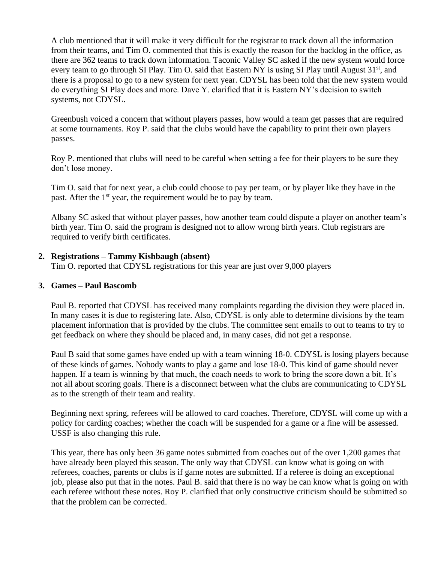A club mentioned that it will make it very difficult for the registrar to track down all the information from their teams, and Tim O. commented that this is exactly the reason for the backlog in the office, as there are 362 teams to track down information. Taconic Valley SC asked if the new system would force every team to go through SI Play. Tim O. said that Eastern NY is using SI Play until August 31<sup>st</sup>, and there is a proposal to go to a new system for next year. CDYSL has been told that the new system would do everything SI Play does and more. Dave Y. clarified that it is Eastern NY's decision to switch systems, not CDYSL.

Greenbush voiced a concern that without players passes, how would a team get passes that are required at some tournaments. Roy P. said that the clubs would have the capability to print their own players passes.

Roy P. mentioned that clubs will need to be careful when setting a fee for their players to be sure they don't lose money.

Tim O. said that for next year, a club could choose to pay per team, or by player like they have in the past. After the 1<sup>st</sup> year, the requirement would be to pay by team.

Albany SC asked that without player passes, how another team could dispute a player on another team's birth year. Tim O. said the program is designed not to allow wrong birth years. Club registrars are required to verify birth certificates.

#### **2. Registrations – Tammy Kishbaugh (absent)**

Tim O. reported that CDYSL registrations for this year are just over 9,000 players

#### **3. Games – Paul Bascomb**

Paul B. reported that CDYSL has received many complaints regarding the division they were placed in. In many cases it is due to registering late. Also, CDYSL is only able to determine divisions by the team placement information that is provided by the clubs. The committee sent emails to out to teams to try to get feedback on where they should be placed and, in many cases, did not get a response.

Paul B said that some games have ended up with a team winning 18-0. CDYSL is losing players because of these kinds of games. Nobody wants to play a game and lose 18-0. This kind of game should never happen. If a team is winning by that much, the coach needs to work to bring the score down a bit. It's not all about scoring goals. There is a disconnect between what the clubs are communicating to CDYSL as to the strength of their team and reality.

Beginning next spring, referees will be allowed to card coaches. Therefore, CDYSL will come up with a policy for carding coaches; whether the coach will be suspended for a game or a fine will be assessed. USSF is also changing this rule.

This year, there has only been 36 game notes submitted from coaches out of the over 1,200 games that have already been played this season. The only way that CDYSL can know what is going on with referees, coaches, parents or clubs is if game notes are submitted. If a referee is doing an exceptional job, please also put that in the notes. Paul B. said that there is no way he can know what is going on with each referee without these notes. Roy P. clarified that only constructive criticism should be submitted so that the problem can be corrected.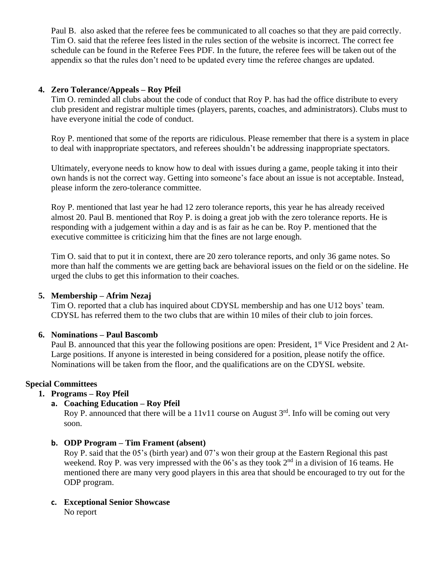Paul B. also asked that the referee fees be communicated to all coaches so that they are paid correctly. Tim O. said that the referee fees listed in the rules section of the website is incorrect. The correct fee schedule can be found in the Referee Fees PDF. In the future, the referee fees will be taken out of the appendix so that the rules don't need to be updated every time the referee changes are updated.

### **4. Zero Tolerance/Appeals – Roy Pfeil**

Tim O. reminded all clubs about the code of conduct that Roy P. has had the office distribute to every club president and registrar multiple times (players, parents, coaches, and administrators). Clubs must to have everyone initial the code of conduct.

Roy P. mentioned that some of the reports are ridiculous. Please remember that there is a system in place to deal with inappropriate spectators, and referees shouldn't be addressing inappropriate spectators.

Ultimately, everyone needs to know how to deal with issues during a game, people taking it into their own hands is not the correct way. Getting into someone's face about an issue is not acceptable. Instead, please inform the zero-tolerance committee.

Roy P. mentioned that last year he had 12 zero tolerance reports, this year he has already received almost 20. Paul B. mentioned that Roy P. is doing a great job with the zero tolerance reports. He is responding with a judgement within a day and is as fair as he can be. Roy P. mentioned that the executive committee is criticizing him that the fines are not large enough.

Tim O. said that to put it in context, there are 20 zero tolerance reports, and only 36 game notes. So more than half the comments we are getting back are behavioral issues on the field or on the sideline. He urged the clubs to get this information to their coaches.

## **5. Membership – Afrim Nezaj**

Tim O. reported that a club has inquired about CDYSL membership and has one U12 boys' team. CDYSL has referred them to the two clubs that are within 10 miles of their club to join forces.

#### **6. Nominations – Paul Bascomb**

Paul B. announced that this year the following positions are open: President, 1<sup>st</sup> Vice President and 2 At-Large positions. If anyone is interested in being considered for a position, please notify the office. Nominations will be taken from the floor, and the qualifications are on the CDYSL website.

#### **Special Committees**

## **1. Programs – Roy Pfeil**

## **a. Coaching Education – Roy Pfeil**

Roy P. announced that there will be a 11v11 course on August  $3<sup>rd</sup>$ . Info will be coming out very soon.

#### **b. ODP Program – Tim Frament (absent)**

Roy P. said that the 05's (birth year) and 07's won their group at the Eastern Regional this past weekend. Roy P. was very impressed with the  $06$ 's as they took  $2<sup>nd</sup>$  in a division of 16 teams. He mentioned there are many very good players in this area that should be encouraged to try out for the ODP program.

# **c. Exceptional Senior Showcase**

No report